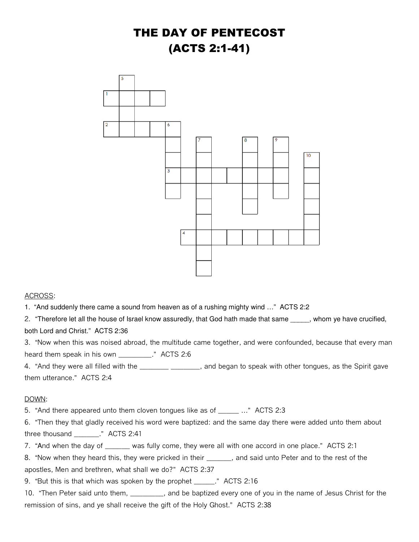## THE DAY OF PENTECOST (ACTS 2:1-41)



## ACROSS:

1. "And suddenly there came a sound from heaven as of a rushing mighty wind …" ACTS 2:2

2. "Therefore let all the house of Israel know assuredly, that God hath made that same \_\_\_\_\_, whom ye have crucified, both Lord and Christ." ACTS 2:36

3. "Now when this was noised abroad, the multitude came together, and were confounded, because that every man heard them speak in his own \_\_\_\_\_\_\_\_\_." ACTS 2:6

4. "And they were all filled with the \_\_\_\_\_\_\_ \_\_\_\_\_\_\_, and began to speak with other tongues, as the Spirit gave them utterance." ACTS 2:4

## DOWN:

5. "And there appeared unto them cloven tongues like as of \_\_\_\_\_\_ ..." ACTS 2:3

6. "Then they that gladly received his word were baptized: and the same day there were added unto them about three thousand \_\_\_\_\_\_." ACTS 2:41

7. "And when the day of \_\_\_\_\_\_ was fully come, they were all with one accord in one place." ACTS 2:1

8. "Now when they heard this, they were pricked in their \_\_\_\_\_\_, and said unto Peter and to the rest of the apostles, Men and brethren, what shall we do?" ACTS 2:37

9. "But this is that which was spoken by the prophet \_\_\_\_\_." ACTS 2:16

10. "Then Peter said unto them, \_\_\_\_\_\_\_\_, and be baptized every one of you in the name of Jesus Christ for the remission of sins, and ye shall receive the gift of the Holy Ghost." ACTS 2:38